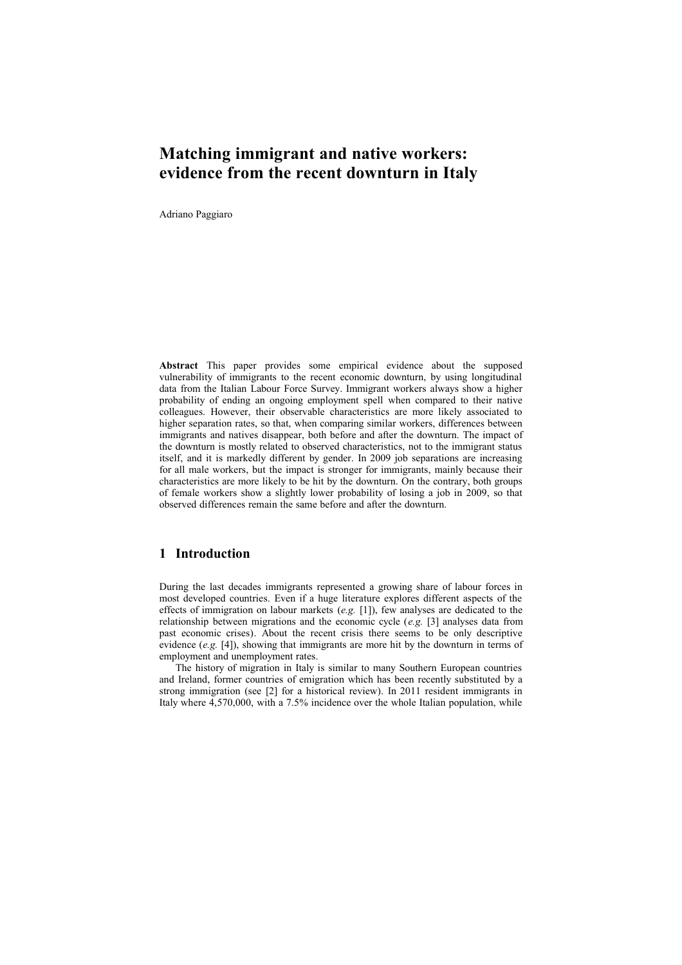# **Matching immigrant and native workers: evidence from the recent downturn in Italy**

Adriano Paggiaro

**Abstract** This paper provides some empirical evidence about the supposed vulnerability of immigrants to the recent economic downturn, by using longitudinal data from the Italian Labour Force Survey. Immigrant workers always show a higher probability of ending an ongoing employment spell when compared to their native colleagues. However, their observable characteristics are more likely associated to higher separation rates, so that, when comparing similar workers, differences between immigrants and natives disappear, both before and after the downturn. The impact of the downturn is mostly related to observed characteristics, not to the immigrant status itself, and it is markedly different by gender. In 2009 job separations are increasing for all male workers, but the impact is stronger for immigrants, mainly because their characteristics are more likely to be hit by the downturn. On the contrary, both groups of female workers show a slightly lower probability of losing a job in 2009, so that observed differences remain the same before and after the downturn.

## **1 Introduction**

During the last decades immigrants represented a growing share of labour forces in most developed countries. Even if a huge literature explores different aspects of the effects of immigration on labour markets (*e.g.* [1]), few analyses are dedicated to the relationship between migrations and the economic cycle (*e.g.* [3] analyses data from past economic crises). About the recent crisis there seems to be only descriptive evidence (*e.g.* [4]), showing that immigrants are more hit by the downturn in terms of employment and unemployment rates.

The history of migration in Italy is similar to many Southern European countries and Ireland, former countries of emigration which has been recently substituted by a strong immigration (see [2] for a historical review). In 2011 resident immigrants in Italy where 4,570,000, with a 7.5% incidence over the whole Italian population, while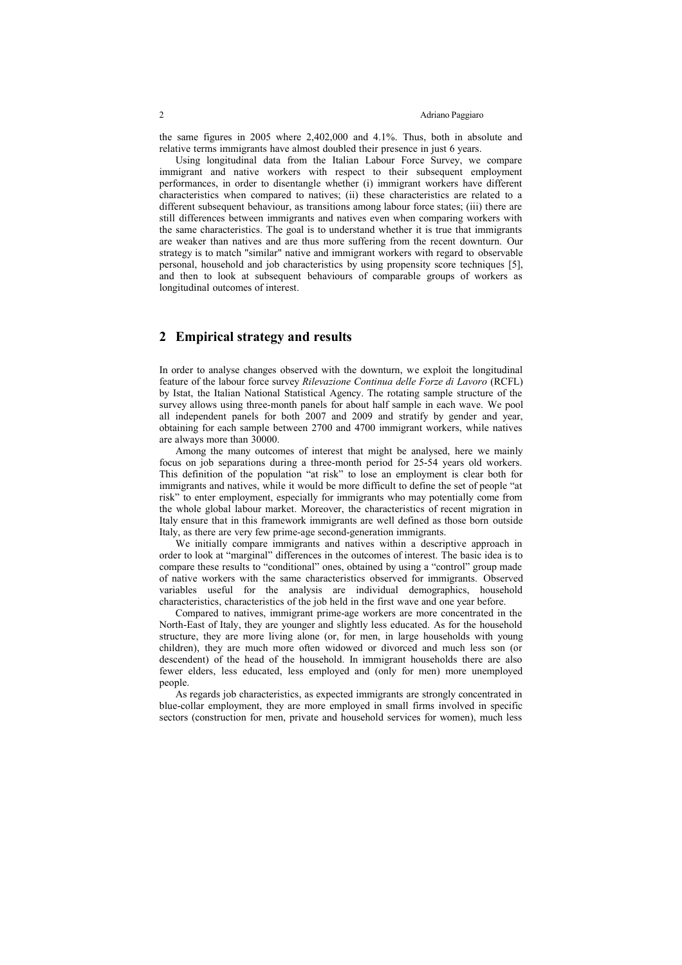the same figures in 2005 where 2,402,000 and 4.1%. Thus, both in absolute and relative terms immigrants have almost doubled their presence in just 6 years.

Using longitudinal data from the Italian Labour Force Survey, we compare immigrant and native workers with respect to their subsequent employment performances, in order to disentangle whether (i) immigrant workers have different characteristics when compared to natives; (ii) these characteristics are related to a different subsequent behaviour, as transitions among labour force states; (iii) there are still differences between immigrants and natives even when comparing workers with the same characteristics. The goal is to understand whether it is true that immigrants are weaker than natives and are thus more suffering from the recent downturn. Our strategy is to match "similar" native and immigrant workers with regard to observable personal, household and job characteristics by using propensity score techniques [5], and then to look at subsequent behaviours of comparable groups of workers as longitudinal outcomes of interest.

### **2 Empirical strategy and results**

In order to analyse changes observed with the downturn, we exploit the longitudinal feature of the labour force survey *Rilevazione Continua delle Forze di Lavoro* (RCFL) by Istat, the Italian National Statistical Agency. The rotating sample structure of the survey allows using three-month panels for about half sample in each wave. We pool all independent panels for both 2007 and 2009 and stratify by gender and year, obtaining for each sample between 2700 and 4700 immigrant workers, while natives are always more than 30000.

Among the many outcomes of interest that might be analysed, here we mainly focus on job separations during a three-month period for 25-54 years old workers. This definition of the population "at risk" to lose an employment is clear both for immigrants and natives, while it would be more difficult to define the set of people "at risk" to enter employment, especially for immigrants who may potentially come from the whole global labour market. Moreover, the characteristics of recent migration in Italy ensure that in this framework immigrants are well defined as those born outside Italy, as there are very few prime-age second-generation immigrants.

We initially compare immigrants and natives within a descriptive approach in order to look at "marginal" differences in the outcomes of interest. The basic idea is to compare these results to "conditional" ones, obtained by using a "control" group made of native workers with the same characteristics observed for immigrants. Observed variables useful for the analysis are individual demographics, household characteristics, characteristics of the job held in the first wave and one year before.

Compared to natives, immigrant prime-age workers are more concentrated in the North-East of Italy, they are younger and slightly less educated. As for the household structure, they are more living alone (or, for men, in large households with young children), they are much more often widowed or divorced and much less son (or descendent) of the head of the household. In immigrant households there are also fewer elders, less educated, less employed and (only for men) more unemployed people.

As regards job characteristics, as expected immigrants are strongly concentrated in blue-collar employment, they are more employed in small firms involved in specific sectors (construction for men, private and household services for women), much less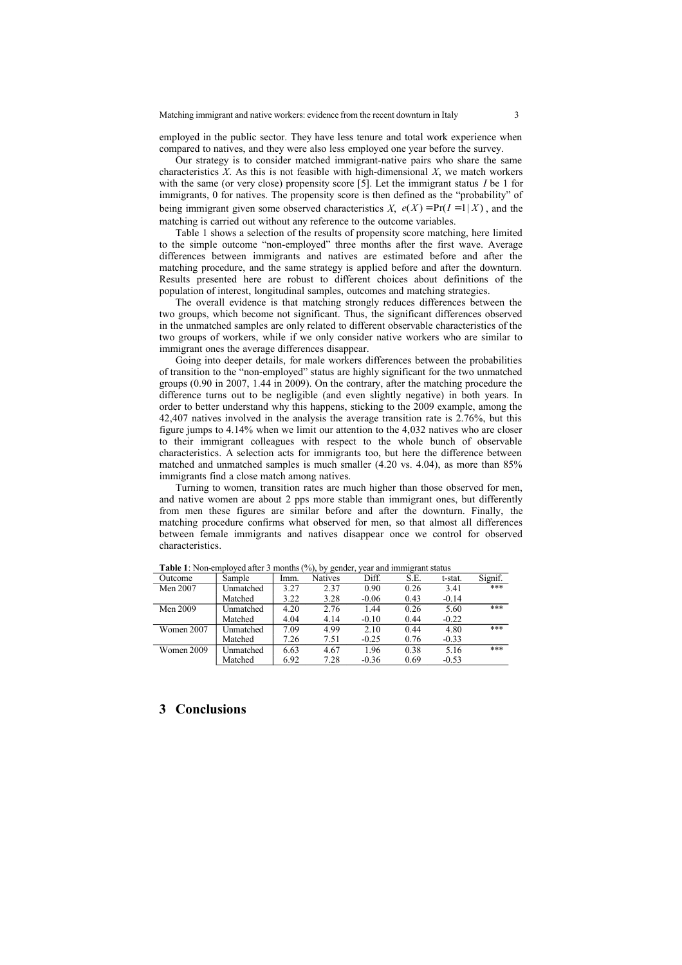employed in the public sector. They have less tenure and total work experience when compared to natives, and they were also less employed one year before the survey.

Our strategy is to consider matched immigrant-native pairs who share the same characteristics *X*. As this is not feasible with high-dimensional *X*, we match workers with the same (or very close) propensity score [5]. Let the immigrant status *I* be 1 for immigrants, 0 for natives. The propensity score is then defined as the "probability" of being immigrant given some observed characteristics *X*,  $e(X) = Pr(I = 1 | X)$ , and the matching is carried out without any reference to the outcome variables.

Table 1 shows a selection of the results of propensity score matching, here limited to the simple outcome "non-employed" three months after the first wave. Average differences between immigrants and natives are estimated before and after the matching procedure, and the same strategy is applied before and after the downturn. Results presented here are robust to different choices about definitions of the population of interest, longitudinal samples, outcomes and matching strategies.

The overall evidence is that matching strongly reduces differences between the two groups, which become not significant. Thus, the significant differences observed in the unmatched samples are only related to different observable characteristics of the two groups of workers, while if we only consider native workers who are similar to immigrant ones the average differences disappear.

Going into deeper details, for male workers differences between the probabilities of transition to the "non-employed" status are highly significant for the two unmatched groups (0.90 in 2007, 1.44 in 2009). On the contrary, after the matching procedure the difference turns out to be negligible (and even slightly negative) in both years. In order to better understand why this happens, sticking to the 2009 example, among the 42,407 natives involved in the analysis the average transition rate is 2.76%, but this figure jumps to 4.14% when we limit our attention to the 4,032 natives who are closer to their immigrant colleagues with respect to the whole bunch of observable characteristics. A selection acts for immigrants too, but here the difference between matched and unmatched samples is much smaller (4.20 vs. 4.04), as more than 85% immigrants find a close match among natives.

Turning to women, transition rates are much higher than those observed for men, and native women are about 2 pps more stable than immigrant ones, but differently from men these figures are similar before and after the downturn. Finally, the matching procedure confirms what observed for men, so that almost all differences between female immigrants and natives disappear once we control for observed characteristics.

| Outcome    | Sample           | Imm. | <b>Natives</b> | Diff.   | S.E. | t-stat. | Signif. |
|------------|------------------|------|----------------|---------|------|---------|---------|
| Men 2007   | Unmatched        | 3.27 | 2.37           | 0.90    | 0.26 | 3.41    | ***     |
|            | Matched          | 3.22 | 3.28           | $-0.06$ | 0.43 | $-0.14$ |         |
| Men 2009   | Unmatched        | 4.20 | 2.76           | 1.44    | 0.26 | 5.60    | ***     |
|            | Matched          | 4.04 | 4.14           | $-0.10$ | 0.44 | $-0.22$ |         |
| Women 2007 | Unmatched        | 7.09 | 4.99           | 2.10    | 0.44 | 4.80    | ***     |
|            | Matched          | 7.26 | 7.51           | $-0.25$ | 0.76 | $-0.33$ |         |
| Women 2009 | <b>Unmatched</b> | 6.63 | 4.67           | 1.96    | 0.38 | 5.16    | ***     |
|            | Matched          | 6.92 | 7.28           | $-0.36$ | 0.69 | $-0.53$ |         |

**Table 1**: Non-employed after 3 months (%), by gender, year and immigrant status

### **3 Conclusions**